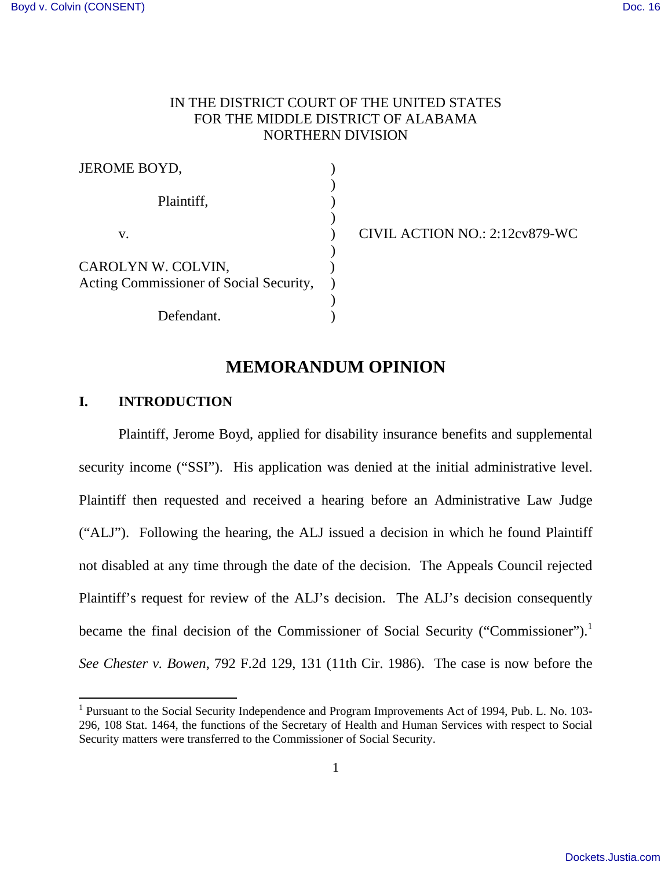## IN THE DISTRICT COURT OF THE UNITED STATES FOR THE MIDDLE DISTRICT OF ALABAMA NORTHERN DIVISION

| JEROME BOYD,                            |  |
|-----------------------------------------|--|
|                                         |  |
| Plaintiff,                              |  |
|                                         |  |
| V.                                      |  |
|                                         |  |
| CAROLYN W. COLVIN,                      |  |
| Acting Commissioner of Social Security, |  |
|                                         |  |
| Defendant.                              |  |
|                                         |  |

v. ) CIVIL ACTION NO.: 2:12cv879-WC

# **MEMORANDUM OPINION**

## **I. INTRODUCTION**

<u>.</u>

 Plaintiff, Jerome Boyd, applied for disability insurance benefits and supplemental security income ("SSI"). His application was denied at the initial administrative level. Plaintiff then requested and received a hearing before an Administrative Law Judge ("ALJ"). Following the hearing, the ALJ issued a decision in which he found Plaintiff not disabled at any time through the date of the decision. The Appeals Council rejected Plaintiff's request for review of the ALJ's decision. The ALJ's decision consequently became the final decision of the Commissioner of Social Security ("Commissioner").<sup>1</sup> *See Chester v. Bowen*, 792 F.2d 129, 131 (11th Cir. 1986). The case is now before the

<sup>&</sup>lt;sup>1</sup> Pursuant to the Social Security Independence and Program Improvements Act of 1994, Pub. L. No. 103-296, 108 Stat. 1464, the functions of the Secretary of Health and Human Services with respect to Social Security matters were transferred to the Commissioner of Social Security.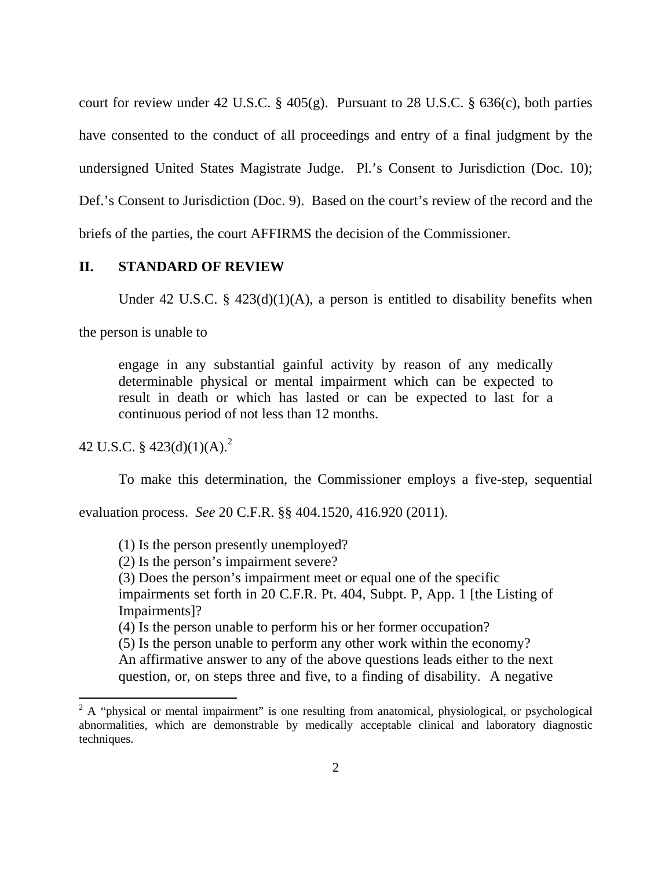court for review under 42 U.S.C.  $\S$  405(g). Pursuant to 28 U.S.C.  $\S$  636(c), both parties have consented to the conduct of all proceedings and entry of a final judgment by the undersigned United States Magistrate Judge. Pl.'s Consent to Jurisdiction (Doc. 10); Def.'s Consent to Jurisdiction (Doc. 9). Based on the court's review of the record and the briefs of the parties, the court AFFIRMS the decision of the Commissioner.

#### **II. STANDARD OF REVIEW**

Under 42 U.S.C. §  $423(d)(1)(A)$ , a person is entitled to disability benefits when

the person is unable to

engage in any substantial gainful activity by reason of any medically determinable physical or mental impairment which can be expected to result in death or which has lasted or can be expected to last for a continuous period of not less than 12 months.

42 U.S.C. §  $423(d)(1)(A)^2$ 

To make this determination, the Commissioner employs a five-step, sequential

evaluation process. *See* 20 C.F.R. §§ 404.1520, 416.920 (2011).

(1) Is the person presently unemployed?

(2) Is the person's impairment severe?

(3) Does the person's impairment meet or equal one of the specific

impairments set forth in 20 C.F.R. Pt. 404, Subpt. P, App. 1 [the Listing of Impairments]?

(4) Is the person unable to perform his or her former occupation?

(5) Is the person unable to perform any other work within the economy?

An affirmative answer to any of the above questions leads either to the next question, or, on steps three and five, to a finding of disability. A negative

<sup>&</sup>lt;u>.</u>  $2^2$  A "physical or mental impairment" is one resulting from anatomical, physiological, or psychological abnormalities, which are demonstrable by medically acceptable clinical and laboratory diagnostic techniques.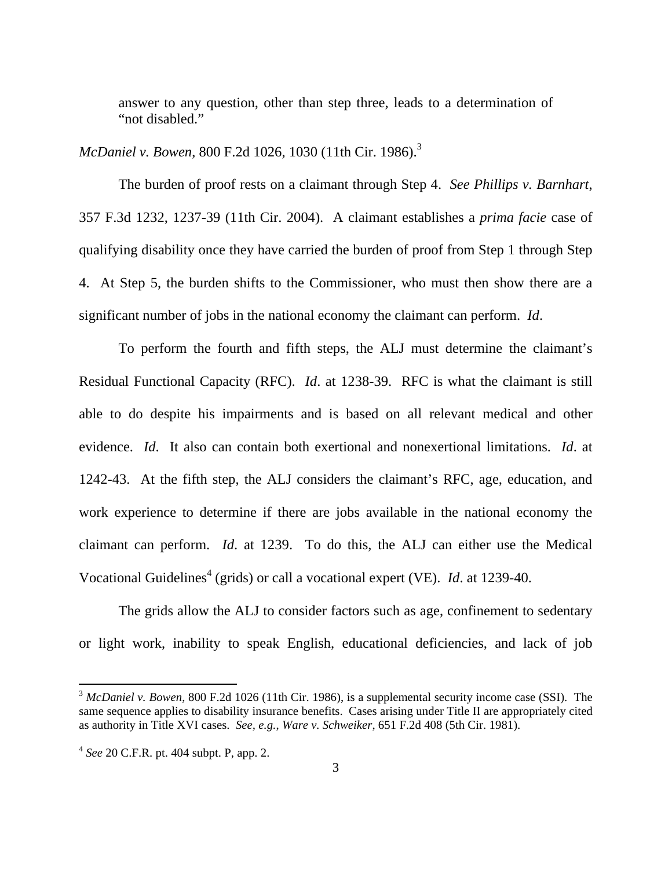answer to any question, other than step three, leads to a determination of "not disabled."

*McDaniel v. Bowen, 800 F.2d 1026, 1030 (11th Cir. 1986).*<sup>3</sup>

 The burden of proof rests on a claimant through Step 4. *See Phillips v. Barnhart*, 357 F.3d 1232, 1237-39 (11th Cir. 2004). A claimant establishes a *prima facie* case of qualifying disability once they have carried the burden of proof from Step 1 through Step 4. At Step 5, the burden shifts to the Commissioner, who must then show there are a significant number of jobs in the national economy the claimant can perform. *Id*.

 To perform the fourth and fifth steps, the ALJ must determine the claimant's Residual Functional Capacity (RFC). *Id*. at 1238-39. RFC is what the claimant is still able to do despite his impairments and is based on all relevant medical and other evidence. *Id*. It also can contain both exertional and nonexertional limitations. *Id*. at 1242-43. At the fifth step, the ALJ considers the claimant's RFC, age, education, and work experience to determine if there are jobs available in the national economy the claimant can perform. *Id*. at 1239. To do this, the ALJ can either use the Medical Vocational Guidelines<sup>4</sup> (grids) or call a vocational expert (VE). *Id.* at 1239-40.

 The grids allow the ALJ to consider factors such as age, confinement to sedentary or light work, inability to speak English, educational deficiencies, and lack of job

 $\overline{a}$ 

<sup>3</sup> *McDaniel v. Bowen*, 800 F.2d 1026 (11th Cir. 1986), is a supplemental security income case (SSI). The same sequence applies to disability insurance benefits. Cases arising under Title II are appropriately cited as authority in Title XVI cases. *See, e.g.*, *Ware v. Schweiker*, 651 F.2d 408 (5th Cir. 1981).

<sup>4</sup> *See* 20 C.F.R. pt. 404 subpt. P, app. 2.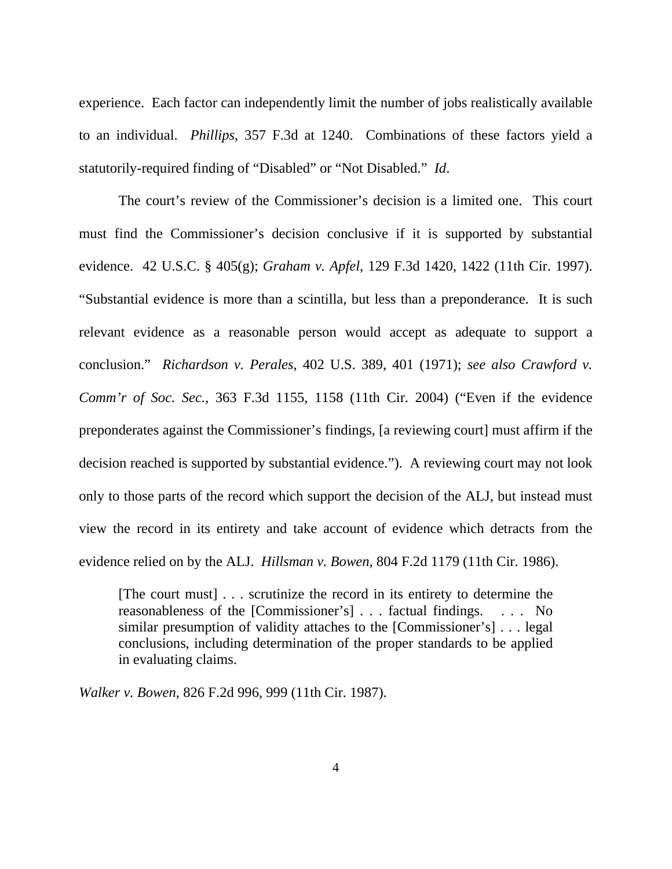experience. Each factor can independently limit the number of jobs realistically available to an individual. *Phillips*, 357 F.3d at 1240. Combinations of these factors yield a statutorily-required finding of "Disabled" or "Not Disabled." *Id*.

 The court's review of the Commissioner's decision is a limited one. This court must find the Commissioner's decision conclusive if it is supported by substantial evidence. 42 U.S.C. § 405(g); *Graham v. Apfel*, 129 F.3d 1420, 1422 (11th Cir. 1997). "Substantial evidence is more than a scintilla, but less than a preponderance. It is such relevant evidence as a reasonable person would accept as adequate to support a conclusion." *Richardson v. Perales*, 402 U.S. 389, 401 (1971); *see also Crawford v. Comm'r of Soc. Sec.*, 363 F.3d 1155, 1158 (11th Cir. 2004) ("Even if the evidence preponderates against the Commissioner's findings, [a reviewing court] must affirm if the decision reached is supported by substantial evidence."). A reviewing court may not look only to those parts of the record which support the decision of the ALJ, but instead must view the record in its entirety and take account of evidence which detracts from the evidence relied on by the ALJ. *Hillsman v. Bowen*, 804 F.2d 1179 (11th Cir. 1986).

[The court must] . . . scrutinize the record in its entirety to determine the reasonableness of the [Commissioner's] . . . factual findings. . . . No similar presumption of validity attaches to the [Commissioner's] . . . legal conclusions, including determination of the proper standards to be applied in evaluating claims.

*Walker v. Bowen*, 826 F.2d 996, 999 (11th Cir. 1987).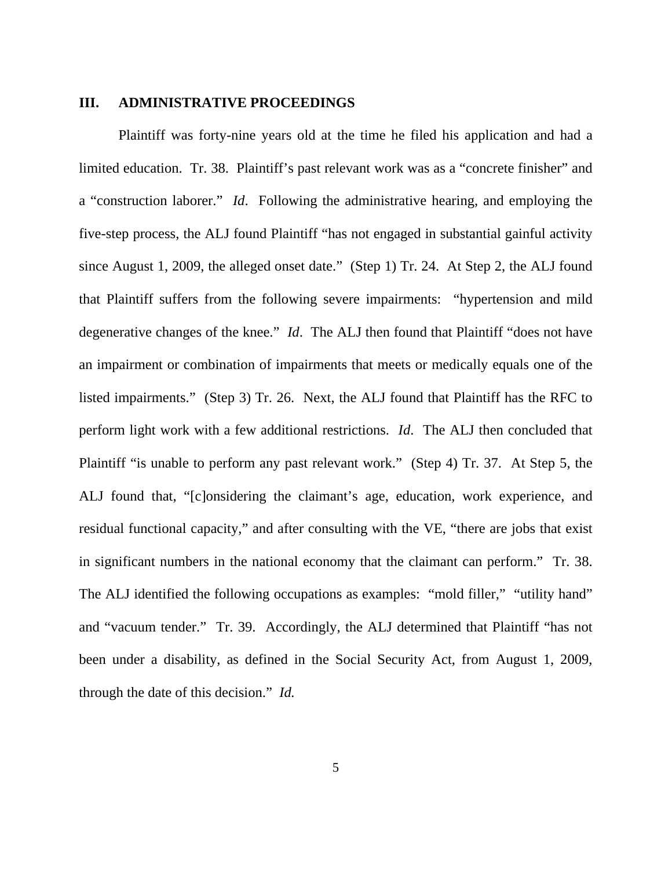#### **III. ADMINISTRATIVE PROCEEDINGS**

 Plaintiff was forty-nine years old at the time he filed his application and had a limited education. Tr. 38. Plaintiff's past relevant work was as a "concrete finisher" and a "construction laborer." *Id*. Following the administrative hearing, and employing the five-step process, the ALJ found Plaintiff "has not engaged in substantial gainful activity since August 1, 2009, the alleged onset date." (Step 1) Tr. 24. At Step 2, the ALJ found that Plaintiff suffers from the following severe impairments: "hypertension and mild degenerative changes of the knee." *Id*. The ALJ then found that Plaintiff "does not have an impairment or combination of impairments that meets or medically equals one of the listed impairments." (Step 3) Tr. 26. Next, the ALJ found that Plaintiff has the RFC to perform light work with a few additional restrictions. *Id*. The ALJ then concluded that Plaintiff "is unable to perform any past relevant work." (Step 4) Tr. 37. At Step 5, the ALJ found that, "[c]onsidering the claimant's age, education, work experience, and residual functional capacity," and after consulting with the VE, "there are jobs that exist in significant numbers in the national economy that the claimant can perform." Tr. 38. The ALJ identified the following occupations as examples: "mold filler," "utility hand" and "vacuum tender." Tr. 39. Accordingly, the ALJ determined that Plaintiff "has not been under a disability, as defined in the Social Security Act, from August 1, 2009, through the date of this decision." *Id.*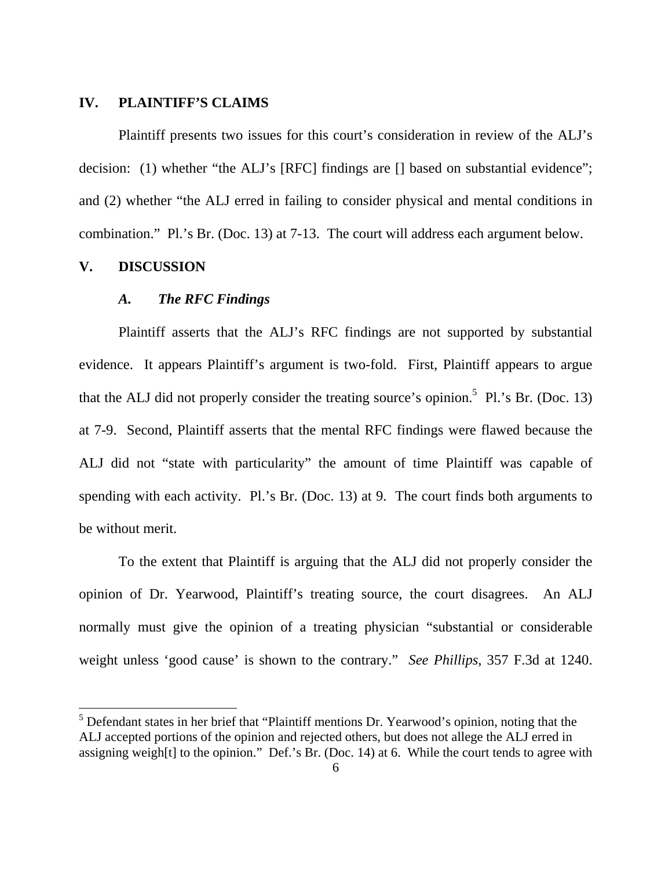#### **IV. PLAINTIFF'S CLAIMS**

 Plaintiff presents two issues for this court's consideration in review of the ALJ's decision: (1) whether "the ALJ's [RFC] findings are [] based on substantial evidence"; and (2) whether "the ALJ erred in failing to consider physical and mental conditions in combination." Pl.'s Br. (Doc. 13) at 7-13. The court will address each argument below.

#### **V. DISCUSSION**

 $\overline{a}$ 

#### *A. The RFC Findings*

 Plaintiff asserts that the ALJ's RFC findings are not supported by substantial evidence. It appears Plaintiff's argument is two-fold. First, Plaintiff appears to argue that the ALJ did not properly consider the treating source's opinion.<sup>5</sup> Pl.'s Br. (Doc. 13) at 7-9. Second, Plaintiff asserts that the mental RFC findings were flawed because the ALJ did not "state with particularity" the amount of time Plaintiff was capable of spending with each activity. Pl.'s Br. (Doc. 13) at 9. The court finds both arguments to be without merit.

To the extent that Plaintiff is arguing that the ALJ did not properly consider the opinion of Dr. Yearwood, Plaintiff's treating source, the court disagrees. An ALJ normally must give the opinion of a treating physician "substantial or considerable weight unless 'good cause' is shown to the contrary." *See Phillips*, 357 F.3d at 1240.

<sup>&</sup>lt;sup>5</sup> Defendant states in her brief that "Plaintiff mentions Dr. Yearwood's opinion, noting that the ALJ accepted portions of the opinion and rejected others, but does not allege the ALJ erred in assigning weigh[t] to the opinion." Def.'s Br. (Doc. 14) at 6. While the court tends to agree with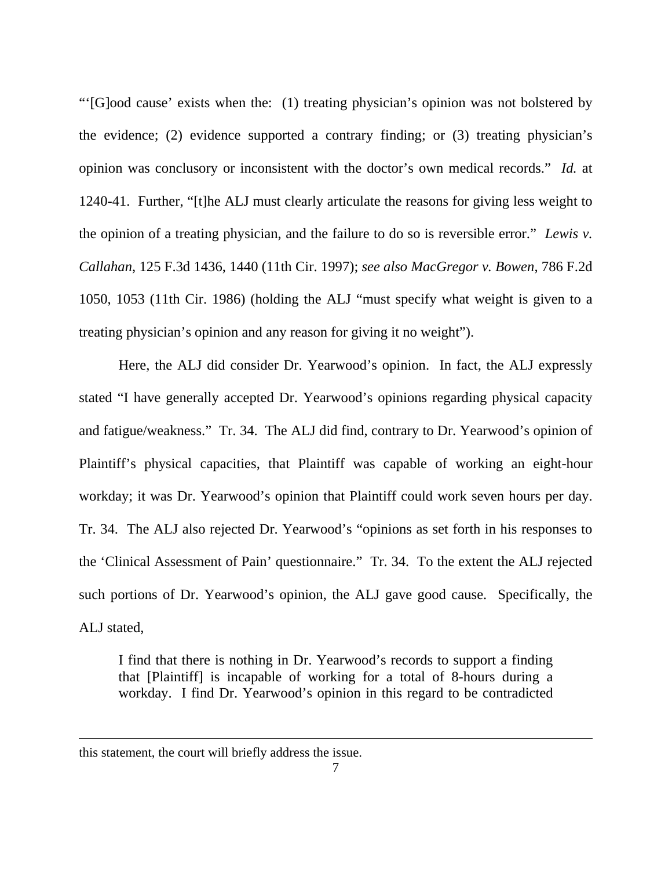"'[G]ood cause' exists when the: (1) treating physician's opinion was not bolstered by the evidence; (2) evidence supported a contrary finding; or (3) treating physician's opinion was conclusory or inconsistent with the doctor's own medical records." *Id.* at 1240-41. Further, "[t]he ALJ must clearly articulate the reasons for giving less weight to the opinion of a treating physician, and the failure to do so is reversible error." *Lewis v. Callahan*, 125 F.3d 1436, 1440 (11th Cir. 1997); *see also MacGregor v. Bowen*, 786 F.2d 1050, 1053 (11th Cir. 1986) (holding the ALJ "must specify what weight is given to a treating physician's opinion and any reason for giving it no weight").

 Here, the ALJ did consider Dr. Yearwood's opinion. In fact, the ALJ expressly stated "I have generally accepted Dr. Yearwood's opinions regarding physical capacity and fatigue/weakness." Tr. 34. The ALJ did find, contrary to Dr. Yearwood's opinion of Plaintiff's physical capacities, that Plaintiff was capable of working an eight-hour workday; it was Dr. Yearwood's opinion that Plaintiff could work seven hours per day. Tr. 34. The ALJ also rejected Dr. Yearwood's "opinions as set forth in his responses to the 'Clinical Assessment of Pain' questionnaire." Tr. 34. To the extent the ALJ rejected such portions of Dr. Yearwood's opinion, the ALJ gave good cause. Specifically, the ALJ stated,

I find that there is nothing in Dr. Yearwood's records to support a finding that [Plaintiff] is incapable of working for a total of 8-hours during a workday. I find Dr. Yearwood's opinion in this regard to be contradicted

 $\overline{a}$ 

this statement, the court will briefly address the issue.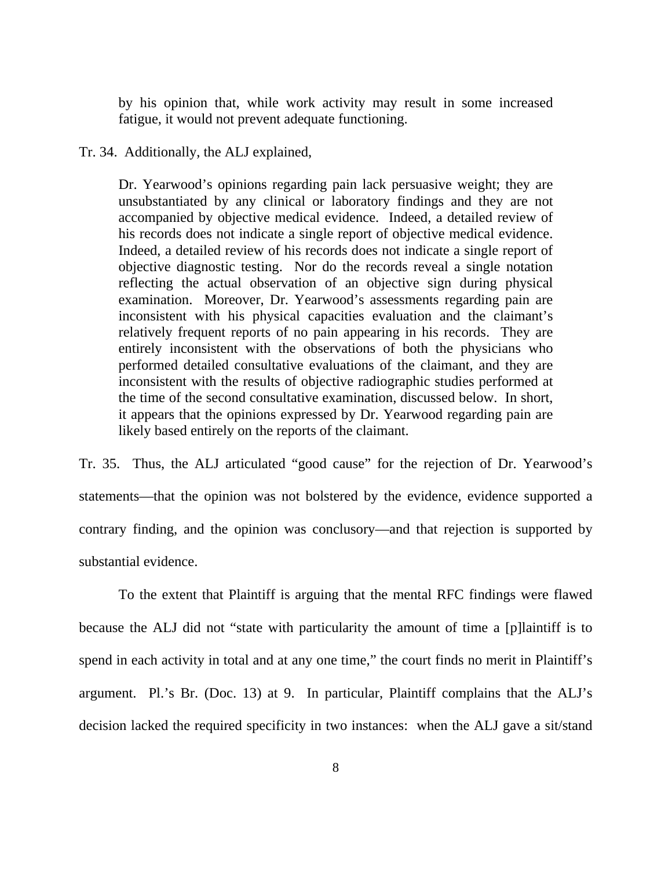by his opinion that, while work activity may result in some increased fatigue, it would not prevent adequate functioning.

#### Tr. 34. Additionally, the ALJ explained,

Dr. Yearwood's opinions regarding pain lack persuasive weight; they are unsubstantiated by any clinical or laboratory findings and they are not accompanied by objective medical evidence. Indeed, a detailed review of his records does not indicate a single report of objective medical evidence. Indeed, a detailed review of his records does not indicate a single report of objective diagnostic testing. Nor do the records reveal a single notation reflecting the actual observation of an objective sign during physical examination. Moreover, Dr. Yearwood's assessments regarding pain are inconsistent with his physical capacities evaluation and the claimant's relatively frequent reports of no pain appearing in his records. They are entirely inconsistent with the observations of both the physicians who performed detailed consultative evaluations of the claimant, and they are inconsistent with the results of objective radiographic studies performed at the time of the second consultative examination, discussed below. In short, it appears that the opinions expressed by Dr. Yearwood regarding pain are likely based entirely on the reports of the claimant.

Tr. 35. Thus, the ALJ articulated "good cause" for the rejection of Dr. Yearwood's statements—that the opinion was not bolstered by the evidence, evidence supported a contrary finding, and the opinion was conclusory—and that rejection is supported by substantial evidence.

 To the extent that Plaintiff is arguing that the mental RFC findings were flawed because the ALJ did not "state with particularity the amount of time a [p]laintiff is to spend in each activity in total and at any one time," the court finds no merit in Plaintiff's argument. Pl.'s Br. (Doc. 13) at 9. In particular, Plaintiff complains that the ALJ's decision lacked the required specificity in two instances: when the ALJ gave a sit/stand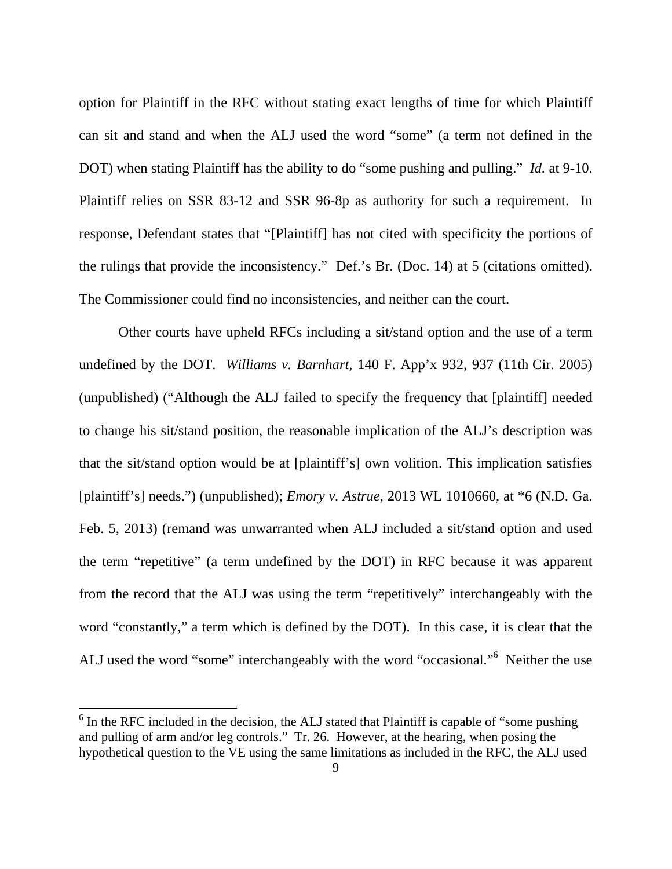option for Plaintiff in the RFC without stating exact lengths of time for which Plaintiff can sit and stand and when the ALJ used the word "some" (a term not defined in the DOT) when stating Plaintiff has the ability to do "some pushing and pulling." *Id.* at 9-10. Plaintiff relies on SSR 83-12 and SSR 96-8p as authority for such a requirement. In response, Defendant states that "[Plaintiff] has not cited with specificity the portions of the rulings that provide the inconsistency." Def.'s Br. (Doc. 14) at 5 (citations omitted). The Commissioner could find no inconsistencies, and neither can the court.

 Other courts have upheld RFCs including a sit/stand option and the use of a term undefined by the DOT. *Williams v. Barnhart*, 140 F. App'x 932, 937 (11th Cir. 2005) (unpublished) ("Although the ALJ failed to specify the frequency that [plaintiff] needed to change his sit/stand position, the reasonable implication of the ALJ's description was that the sit/stand option would be at [plaintiff's] own volition. This implication satisfies [plaintiff's] needs.") (unpublished); *Emory v. Astrue*, 2013 WL 1010660, at \*6 (N.D. Ga. Feb. 5, 2013) (remand was unwarranted when ALJ included a sit/stand option and used the term "repetitive" (a term undefined by the DOT) in RFC because it was apparent from the record that the ALJ was using the term "repetitively" interchangeably with the word "constantly," a term which is defined by the DOT). In this case, it is clear that the ALJ used the word "some" interchangeably with the word "occasional."<sup>6</sup> Neither the use

<sup>&</sup>lt;sup>6</sup> In the RFC included in the decision, the ALJ stated that Plaintiff is capable of "some pushing" and pulling of arm and/or leg controls." Tr. 26. However, at the hearing, when posing the hypothetical question to the VE using the same limitations as included in the RFC, the ALJ used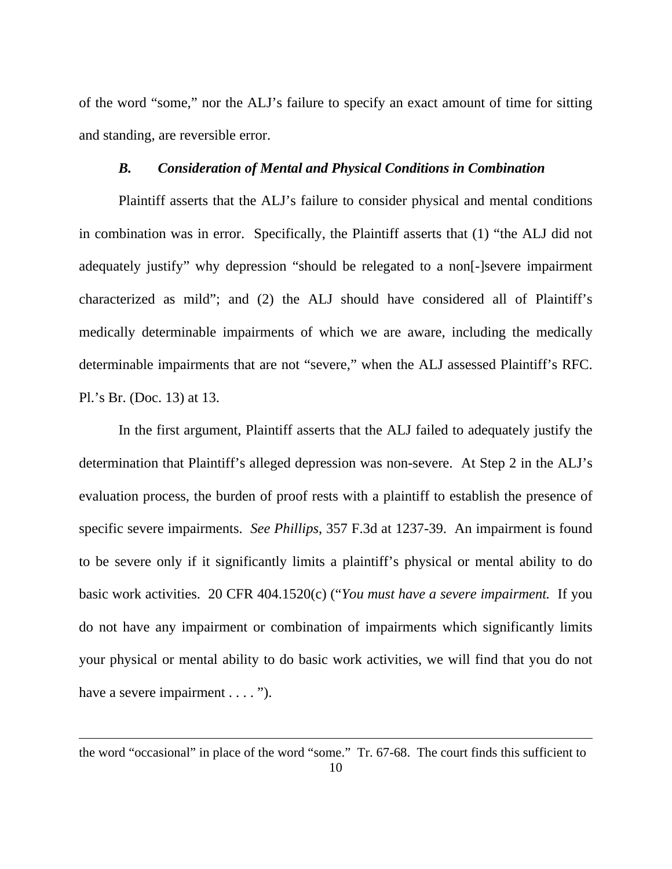of the word "some," nor the ALJ's failure to specify an exact amount of time for sitting and standing, are reversible error.

#### *B. Consideration of Mental and Physical Conditions in Combination*

 Plaintiff asserts that the ALJ's failure to consider physical and mental conditions in combination was in error. Specifically, the Plaintiff asserts that (1) "the ALJ did not adequately justify" why depression "should be relegated to a non[-]severe impairment characterized as mild"; and (2) the ALJ should have considered all of Plaintiff's medically determinable impairments of which we are aware, including the medically determinable impairments that are not "severe," when the ALJ assessed Plaintiff's RFC. Pl.'s Br. (Doc. 13) at 13.

In the first argument, Plaintiff asserts that the ALJ failed to adequately justify the determination that Plaintiff's alleged depression was non-severe. At Step 2 in the ALJ's evaluation process, the burden of proof rests with a plaintiff to establish the presence of specific severe impairments. *See Phillips*, 357 F.3d at 1237-39. An impairment is found to be severe only if it significantly limits a plaintiff's physical or mental ability to do basic work activities. 20 CFR 404.1520(c) ("*You must have a severe impairment.* If you do not have any impairment or combination of impairments which significantly limits your physical or mental ability to do basic work activities, we will find that you do not have a severe impairment . . . . ").

<u>.</u>

the word "occasional" in place of the word "some." Tr. 67-68. The court finds this sufficient to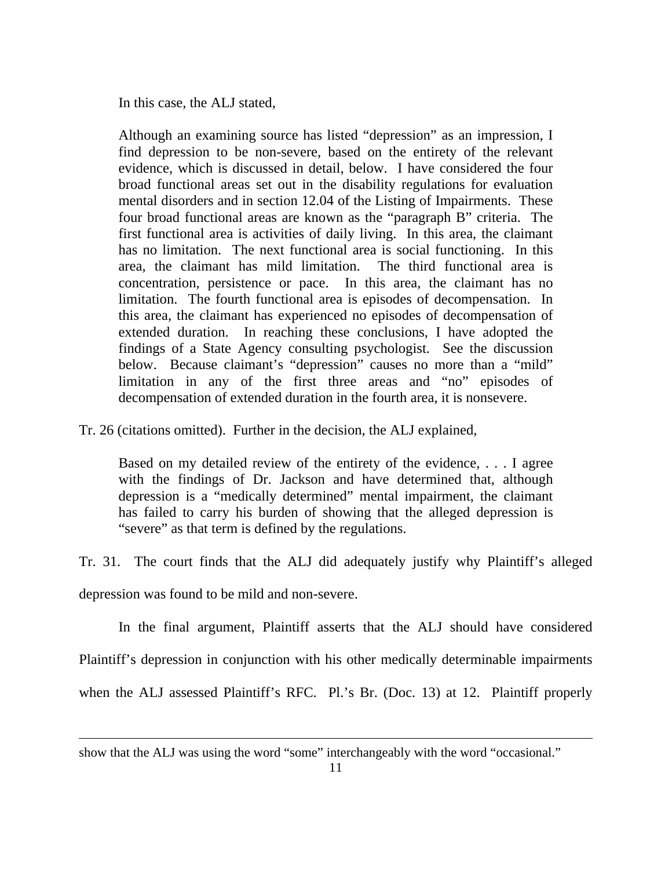In this case, the ALJ stated,

Although an examining source has listed "depression" as an impression, I find depression to be non-severe, based on the entirety of the relevant evidence, which is discussed in detail, below. I have considered the four broad functional areas set out in the disability regulations for evaluation mental disorders and in section 12.04 of the Listing of Impairments. These four broad functional areas are known as the "paragraph B" criteria. The first functional area is activities of daily living. In this area, the claimant has no limitation. The next functional area is social functioning. In this area, the claimant has mild limitation. The third functional area is concentration, persistence or pace. In this area, the claimant has no limitation. The fourth functional area is episodes of decompensation. In this area, the claimant has experienced no episodes of decompensation of extended duration. In reaching these conclusions, I have adopted the findings of a State Agency consulting psychologist. See the discussion below. Because claimant's "depression" causes no more than a "mild" limitation in any of the first three areas and "no" episodes of decompensation of extended duration in the fourth area, it is nonsevere.

Tr. 26 (citations omitted). Further in the decision, the ALJ explained,

Based on my detailed review of the entirety of the evidence, . . . I agree with the findings of Dr. Jackson and have determined that, although depression is a "medically determined" mental impairment, the claimant has failed to carry his burden of showing that the alleged depression is "severe" as that term is defined by the regulations.

Tr. 31. The court finds that the ALJ did adequately justify why Plaintiff's alleged depression was found to be mild and non-severe.

In the final argument, Plaintiff asserts that the ALJ should have considered Plaintiff's depression in conjunction with his other medically determinable impairments when the ALJ assessed Plaintiff's RFC. Pl.'s Br. (Doc. 13) at 12. Plaintiff properly

 $\overline{a}$ 

show that the ALJ was using the word "some" interchangeably with the word "occasional."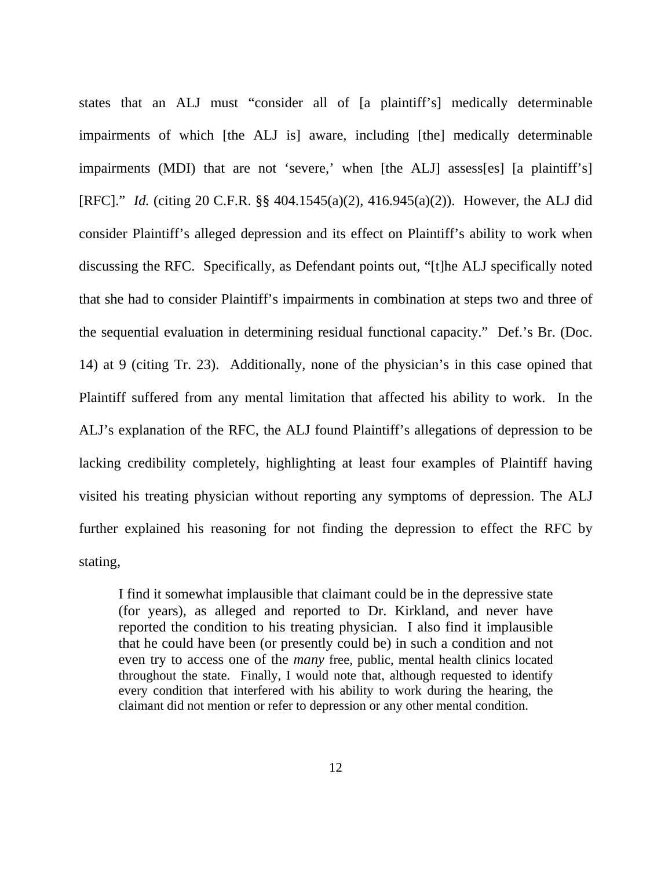states that an ALJ must "consider all of [a plaintiff's] medically determinable impairments of which [the ALJ is] aware, including [the] medically determinable impairments (MDI) that are not 'severe,' when [the ALJ] assess[es] [a plaintiff's] [RFC]." *Id.* (citing 20 C.F.R. §§ 404.1545(a)(2), 416.945(a)(2)). However, the ALJ did consider Plaintiff's alleged depression and its effect on Plaintiff's ability to work when discussing the RFC. Specifically, as Defendant points out, "[t]he ALJ specifically noted that she had to consider Plaintiff's impairments in combination at steps two and three of the sequential evaluation in determining residual functional capacity." Def.'s Br. (Doc. 14) at 9 (citing Tr. 23). Additionally, none of the physician's in this case opined that Plaintiff suffered from any mental limitation that affected his ability to work. In the ALJ's explanation of the RFC, the ALJ found Plaintiff's allegations of depression to be lacking credibility completely, highlighting at least four examples of Plaintiff having visited his treating physician without reporting any symptoms of depression. The ALJ further explained his reasoning for not finding the depression to effect the RFC by stating,

I find it somewhat implausible that claimant could be in the depressive state (for years), as alleged and reported to Dr. Kirkland, and never have reported the condition to his treating physician. I also find it implausible that he could have been (or presently could be) in such a condition and not even try to access one of the *many* free, public, mental health clinics located throughout the state. Finally, I would note that, although requested to identify every condition that interfered with his ability to work during the hearing, the claimant did not mention or refer to depression or any other mental condition.